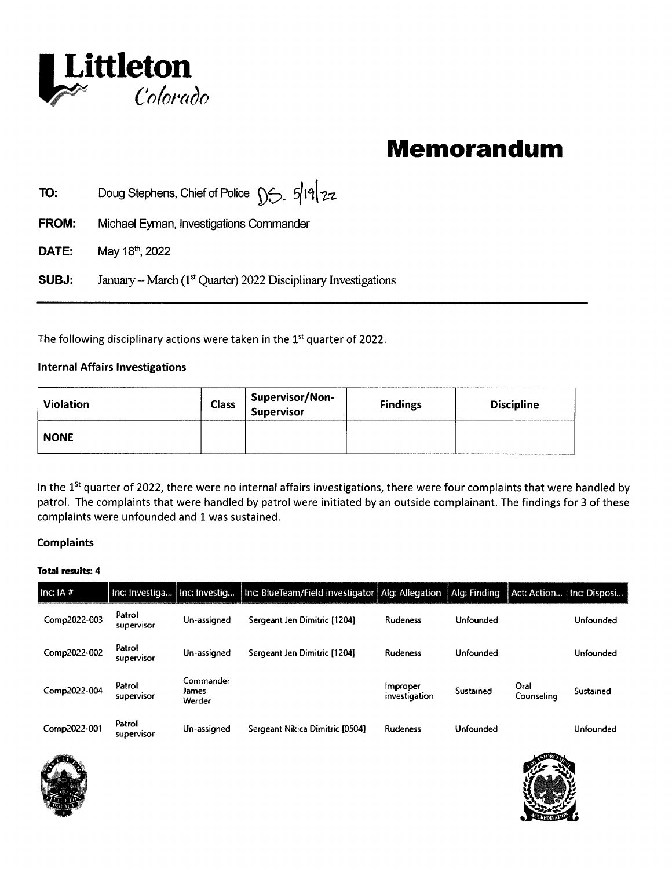

## Memorandum

**TO:** Doug Stephens, Chief of Police  $\int$   $\frac{2}{2}$ .  $\frac{1}{2}$ 

- FROM: Michael Eyman, Investigations Commander
- DATE: May 18", 2022

SUBJ: January – March ( $1<sup>st</sup>$  Quarter) 2022 Disciplinary Investigations

The following disciplinary actions were taken in the 1<sup>st</sup> quarter of 2022.

## Internal Affairs Investigations

| <b>Violation</b> | <b>Class</b> | Supervisor/Non-<br>Supervisor | <b>Findings</b> | <b>Discipline</b> |
|------------------|--------------|-------------------------------|-----------------|-------------------|
| <b>NONE</b>      |              |                               |                 |                   |

In the  $1<sup>st</sup>$  quarter of 2022, there were no internal affairs investigations, there were four complaints that were handled by patrol. The complaints that were handled by patrol were initiated by an outside complainant. The findings for 3 of these complaints were unfounded and 1 was sustained.

## Complaints

## Total results: 4

| <b>Complaints</b> |                                |                              |                                                    |                           |              |                    |              |
|-------------------|--------------------------------|------------------------------|----------------------------------------------------|---------------------------|--------------|--------------------|--------------|
| Total results: 4  |                                |                              |                                                    |                           |              |                    |              |
| Inc: $IA \#$      | Inc: Investiga   Inc: Investig |                              | Inc: BlueTeam/Field investigator   Alg: Allegation |                           | Alg: Finding | Act: Action        | Inc: Disposi |
| Comp2022-003      | Patrol<br>supervisor           | Un-assigned                  | Sergeant Jen Dimitric [1204]                       | Rudeness                  | Unfounded    |                    | Unfounded    |
| Comp2022-002      | Patrol<br>supervisor           | Un-assigned                  | Sergeant Jen Dimitric [1204]                       | <b>Rudeness</b>           | Unfounded    |                    | Unfounded    |
| Comp2022-004      | Patrol<br>supervisor           | Commander<br>James<br>Werder |                                                    | improper<br>investigation | Sustained    | Oral<br>Counseling | Sustained    |
| Comp2022-001      | Patrol<br>supervisor           | Un-assigned                  | Sergeant Nikica Dimitric [0504]                    | Rudeness                  | Unfounded    |                    | Unfounded    |